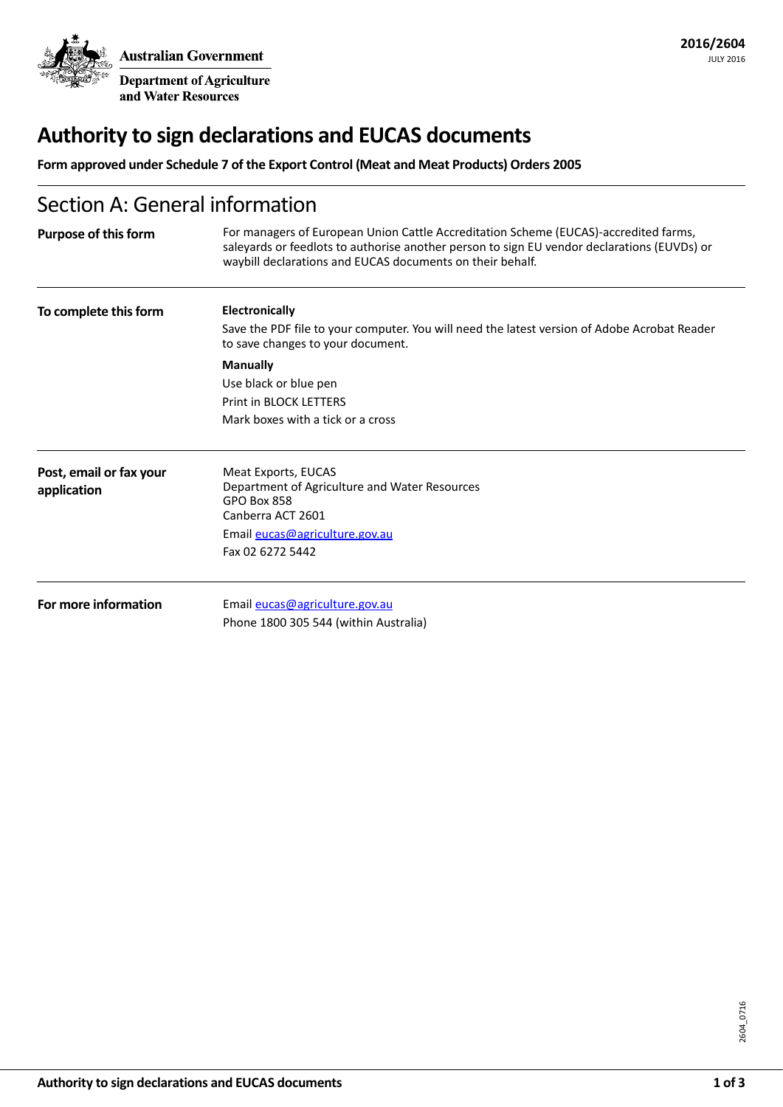**Australian Government Department of Agriculture** 

and Water Resources

# **Authority to sign declarations and EUCAS documents**

**Form approved under Schedule 7 of the Export Control (Meat and Meat Products) Orders 2005**

# Section A: General information

| <b>Purpose of this form</b>            | For managers of European Union Cattle Accreditation Scheme (EUCAS)-accredited farms,<br>saleyards or feedlots to authorise another person to sign EU vendor declarations (EUVDs) or<br>waybill declarations and EUCAS documents on their behalf. |
|----------------------------------------|--------------------------------------------------------------------------------------------------------------------------------------------------------------------------------------------------------------------------------------------------|
| To complete this form                  | <b>Electronically</b><br>Save the PDF file to your computer. You will need the latest version of Adobe Acrobat Reader<br>to save changes to your document.                                                                                       |
|                                        | <b>Manually</b><br>Use black or blue pen<br>Print in BLOCK LETTERS<br>Mark boxes with a tick or a cross                                                                                                                                          |
| Post, email or fax your<br>application | Meat Exports, EUCAS<br>Department of Agriculture and Water Resources<br><b>GPO Box 858</b><br>Canberra ACT 2601<br>Email eucas@agriculture.gov.au<br>Fax 02 6272 5442                                                                            |
| For more information                   | Email eucas@agriculture.gov.au<br>Phone 1800 305 544 (within Australia)                                                                                                                                                                          |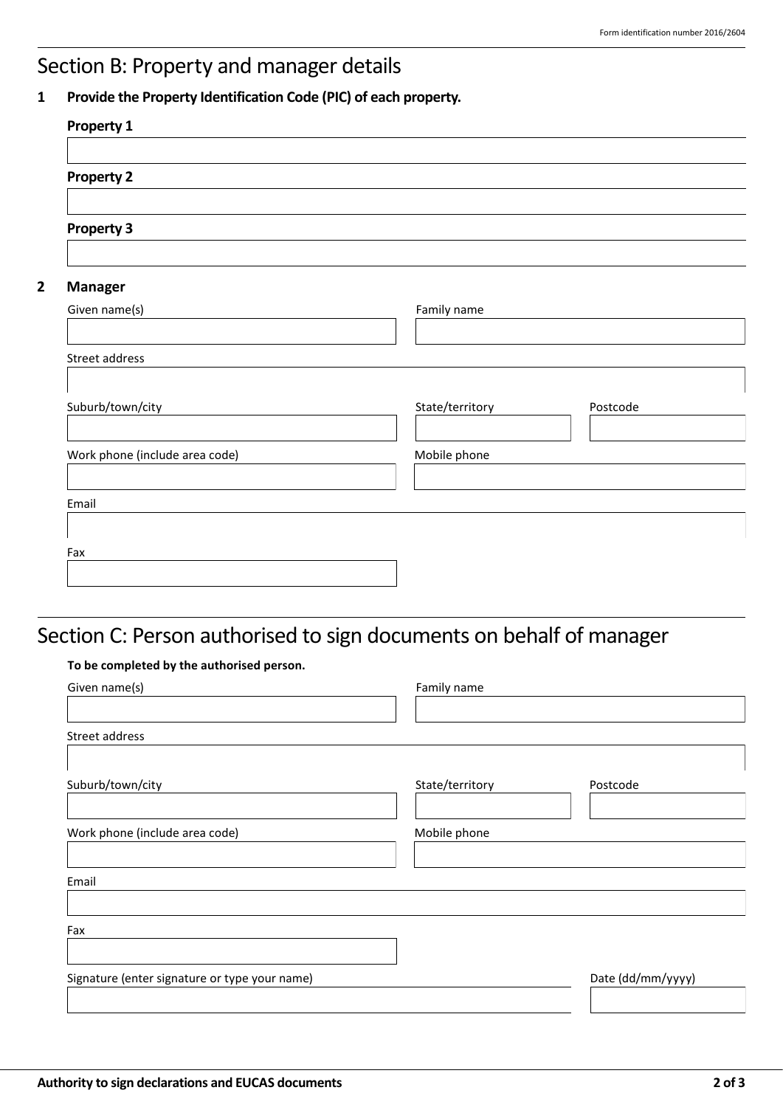## Section B: Property and manager details

### **1 Provide the Property Identification Code (PIC) of each property.**

| Family name     |          |
|-----------------|----------|
|                 |          |
| State/territory | Postcode |
| Mobile phone    |          |
|                 |          |
|                 |          |

# Section C: Person authorised to sign documents on behalf of manager

#### **To be completed by the authorised person.**

| Given name(s)                                 | Family name     |                   |
|-----------------------------------------------|-----------------|-------------------|
|                                               |                 |                   |
| Street address                                |                 |                   |
| Suburb/town/city                              | State/territory | Postcode          |
|                                               |                 |                   |
| Work phone (include area code)                | Mobile phone    |                   |
|                                               |                 |                   |
| Email                                         |                 |                   |
|                                               |                 |                   |
| Fax                                           |                 |                   |
| Signature (enter signature or type your name) |                 | Date (dd/mm/yyyy) |
|                                               |                 |                   |
|                                               |                 |                   |